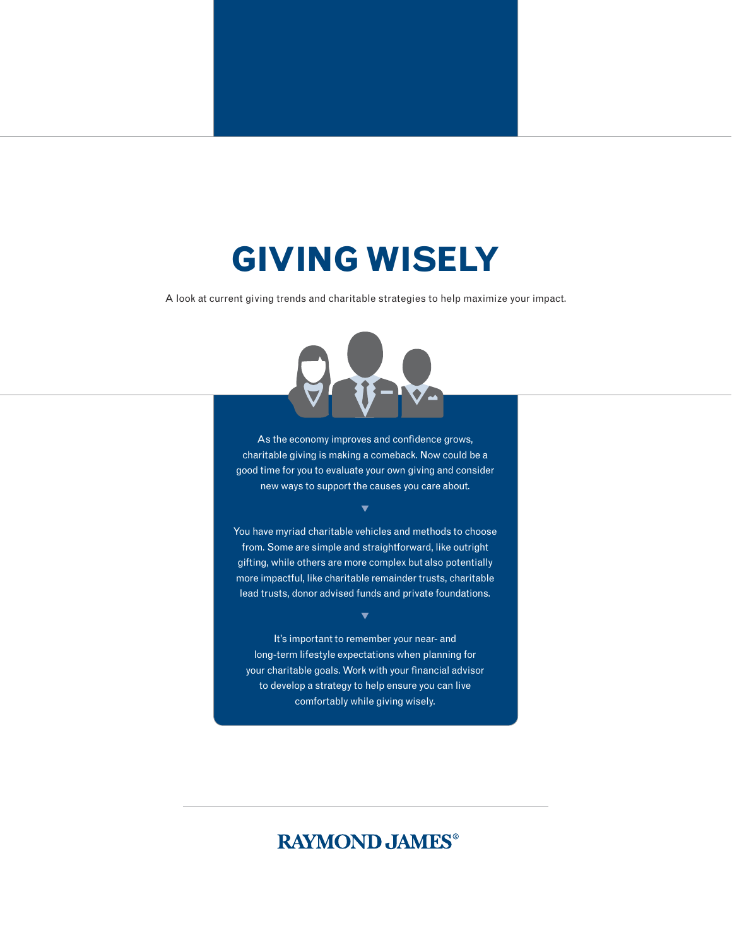# **GIVING WISELY**

A look at current giving trends and charitable strategies to help maximize your impact.



As the economy improves and confidence grows, charitable giving is making a comeback. Now could be a good time for you to evaluate your own giving and consider new ways to support the causes you care about.

 $\blacktriangledown$ 

You have myriad charitable vehicles and methods to choose from. Some are simple and straightforward, like outright gifting, while others are more complex but also potentially more impactful, like charitable remainder trusts, charitable lead trusts, donor advised funds and private foundations.

 $\blacktriangledown$ 

It's important to remember your near- and long-term lifestyle expectations when planning for your charitable goals. Work with your financial advisor to develop a strategy to help ensure you can live comfortably while giving wisely.

## **RAYMOND JAMES®**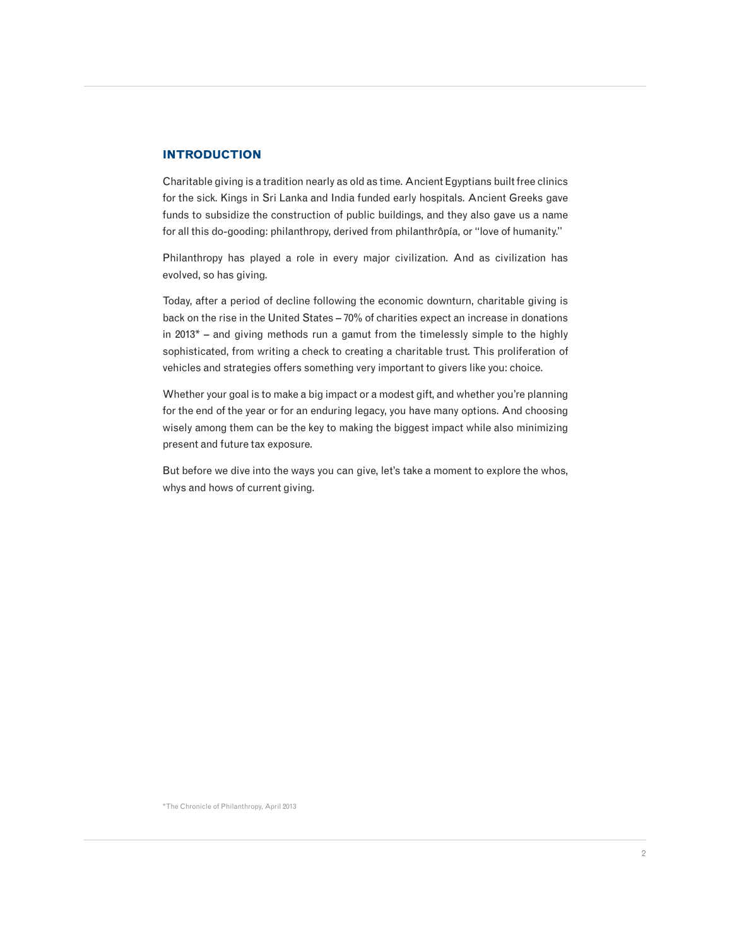#### **INTRODUCTION**

Charitable giving is a tradition nearly as old as time. Ancient Egyptians built free clinics for the sick. Kings in Sri Lanka and India funded early hospitals. Ancient Greeks gave funds to subsidize the construction of public buildings, and they also gave us a name for all this do-gooding: philanthropy, derived from philanthrôpía, or "love of humanity."

Philanthropy has played a role in every major civilization. And as civilization has evolved, so has giving.

Today, after a period of decline following the economic downturn, charitable giving is back on the rise in the United States – 70% of charities expect an increase in donations in 2013\* – and giving methods run a gamut from the timelessly simple to the highly sophisticated, from writing a check to creating a charitable trust. This proliferation of vehicles and strategies offers something very important to givers like you: choice.

Whether your goal is to make a big impact or a modest gift, and whether you're planning for the end of the year or for an enduring legacy, you have many options. And choosing wisely among them can be the key to making the biggest impact while also minimizing present and future tax exposure.

But before we dive into the ways you can give, let's take a moment to explore the whos, whys and hows of current giving.

\*The Chronicle of Philanthropy, April 2013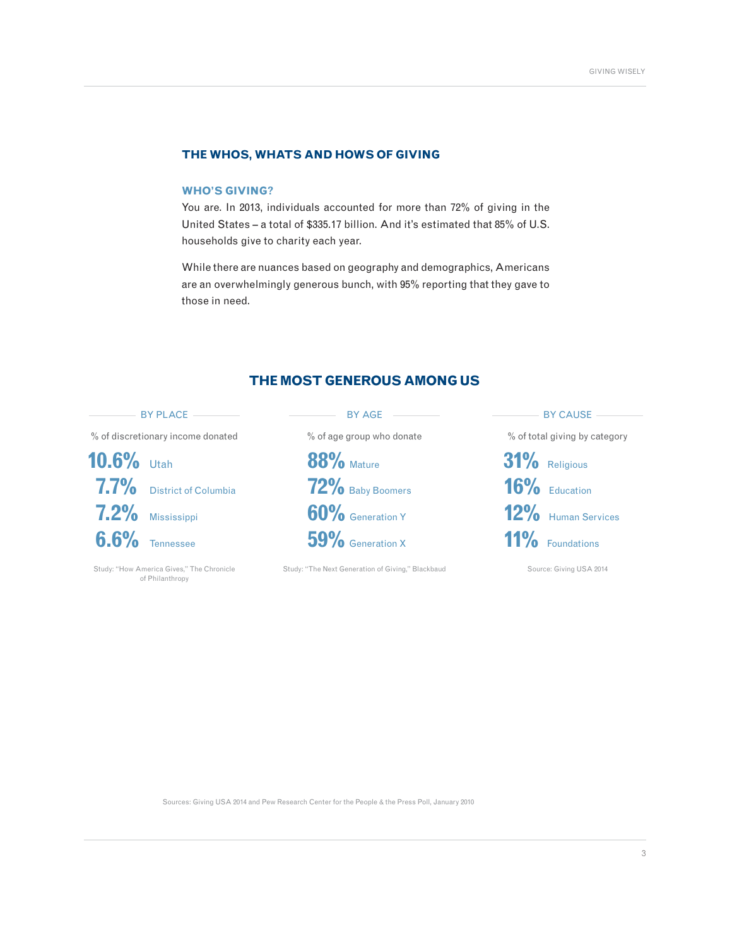#### **THE WHOS, WHATS AND HOWS OF GIVING**

#### **WHO'S GIVING?**

You are. In 2013, individuals accounted for more than 72% of giving in the United States – a total of \$335.17 billion. And it's estimated that 85% of U.S. households give to charity each year.

While there are nuances based on geography and demographics, Americans are an overwhelmingly generous bunch, with 95% reporting that they gave to those in need.

#### **THE MOST GENEROUS AMONG US**



Sources: Giving USA 2014 and Pew Research Center for the People & the Press Poll, January 2010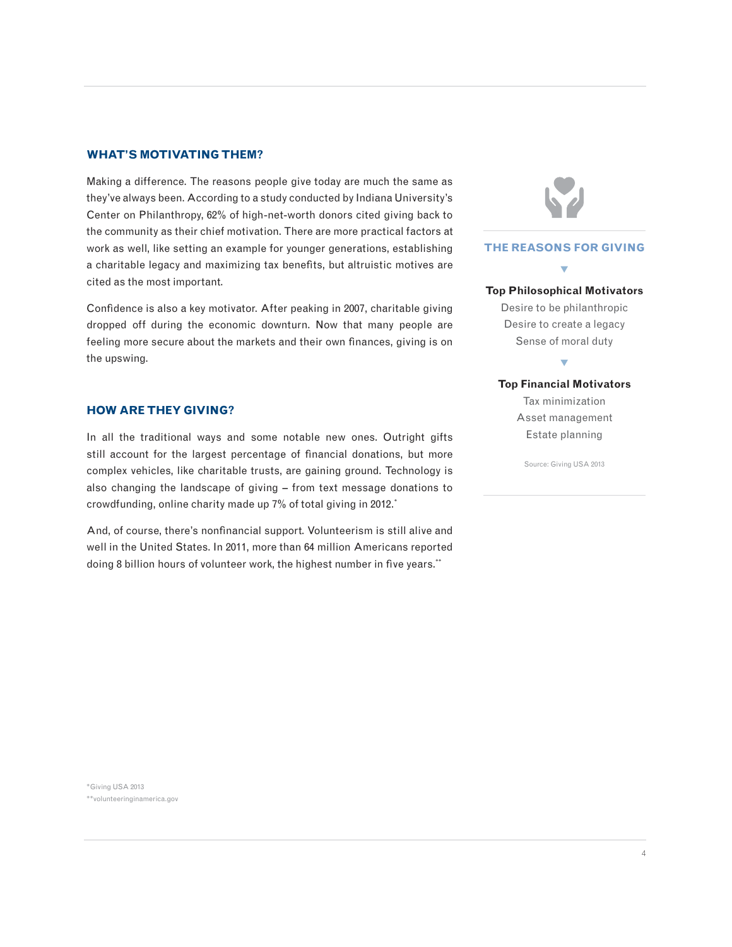#### **WHAT'S MOTIVATING THEM?**

Making a difference. The reasons people give today are much the same as they've always been. According to a study conducted by Indiana University's Center on Philanthropy, 62% of high-net-worth donors cited giving back to the community as their chief motivation. There are more practical factors at work as well, like setting an example for younger generations, establishing a charitable legacy and maximizing tax benefits, but altruistic motives are cited as the most important.

Confidence is also a key motivator. After peaking in 2007, charitable giving dropped off during the economic downturn. Now that many people are feeling more secure about the markets and their own finances, giving is on the upswing.

#### **HOW ARE THEY GIVING?**

In all the traditional ways and some notable new ones. Outright gifts still account for the largest percentage of financial donations, but more complex vehicles, like charitable trusts, are gaining ground. Technology is also changing the landscape of giving – from text message donations to crowdfunding, online charity made up 7% of total giving in 2012.\*

And, of course, there's nonfinancial support. Volunteerism is still alive and well in the United States. In 2011, more than 64 million Americans reported doing 8 billion hours of volunteer work, the highest number in five years.\*\*

**THE REASONS FOR GIVING**  $\blacktriangledown$ **Top Philosophical Motivators** Desire to be philanthropic

Desire to create a legacy Sense of moral duty

 $\blacktriangledown$ 

**Top Financial Motivators** Tax minimization Asset management Estate planning

Source: Giving USA 2013

\*Giving USA 2013

\*\*volunteeringinamerica.gov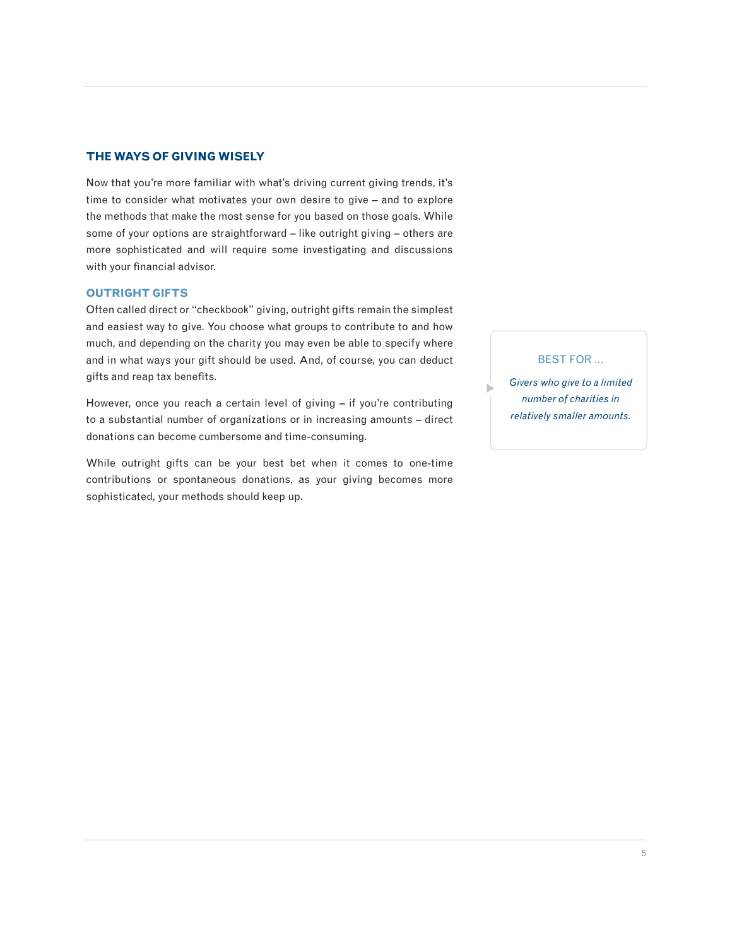#### **THE WAYS OF GIVING WISELY**

Now that you're more familiar with what's driving current giving trends, it's time to consider what motivates your own desire to give – and to explore the methods that make the most sense for you based on those goals. While some of your options are straightforward – like outright giving – others are more sophisticated and will require some investigating and discussions with your financial advisor.

#### **OUTRIGHT GIFTS**

Often called direct or "checkbook" giving, outright gifts remain the simplest and easiest way to give. You choose what groups to contribute to and how much, and depending on the charity you may even be able to specify where and in what ways your gift should be used. And, of course, you can deduct gifts and reap tax benefits.

However, once you reach a certain level of giving – if you're contributing to a substantial number of organizations or in increasing amounts – direct donations can become cumbersome and time-consuming.

While outright gifts can be your best bet when it comes to one-time contributions or spontaneous donations, as your giving becomes more sophisticated, your methods should keep up.

BEST FOR …

*Givers who give to a limited number of charities in relatively smaller amounts.*

u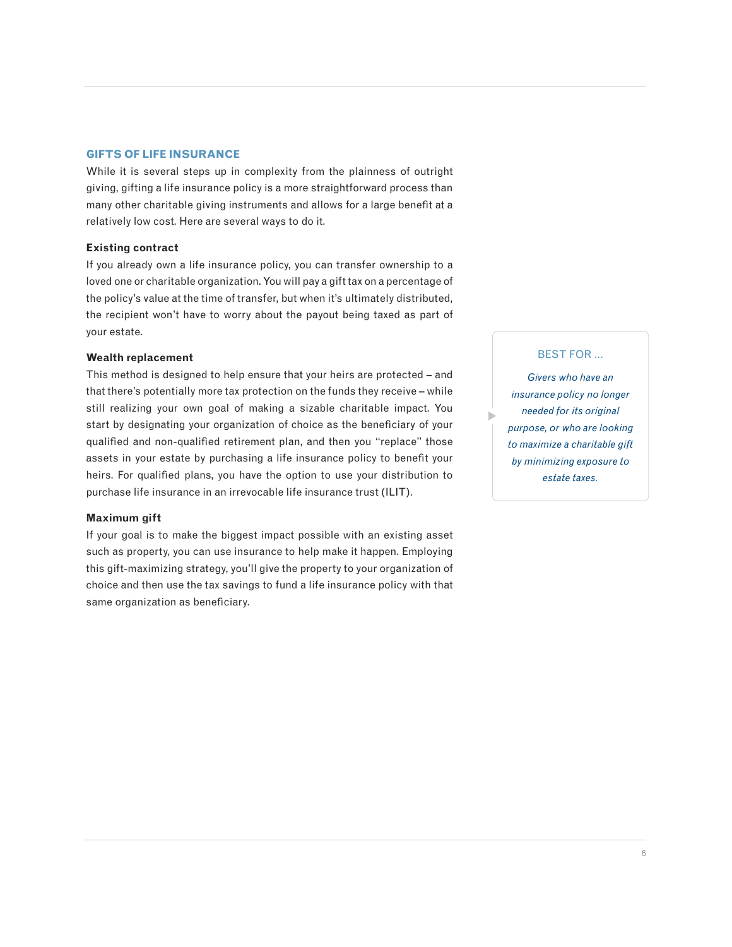#### **GIFTS OF LIFE INSURANCE**

While it is several steps up in complexity from the plainness of outright giving, gifting a life insurance policy is a more straightforward process than many other charitable giving instruments and allows for a large benefit at a relatively low cost. Here are several ways to do it.

#### **Existing contract**

If you already own a life insurance policy, you can transfer ownership to a loved one or charitable organization. You will pay a gift tax on a percentage of the policy's value at the time of transfer, but when it's ultimately distributed, the recipient won't have to worry about the payout being taxed as part of your estate.

#### **Wealth replacement**

This method is designed to help ensure that your heirs are protected – and that there's potentially more tax protection on the funds they receive – while still realizing your own goal of making a sizable charitable impact. You start by designating your organization of choice as the beneficiary of your qualified and non-qualified retirement plan, and then you "replace" those assets in your estate by purchasing a life insurance policy to benefit your heirs. For qualified plans, you have the option to use your distribution to purchase life insurance in an irrevocable life insurance trust (ILIT).

#### **Maximum gift**

If your goal is to make the biggest impact possible with an existing asset such as property, you can use insurance to help make it happen. Employing this gift-maximizing strategy, you'll give the property to your organization of choice and then use the tax savings to fund a life insurance policy with that same organization as beneficiary.

#### BEST FOR …

*Givers who have an insurance policy no longer needed for its original purpose, or who are looking to maximize a charitable gift by minimizing exposure to estate taxes.*

 $\blacktriangleright$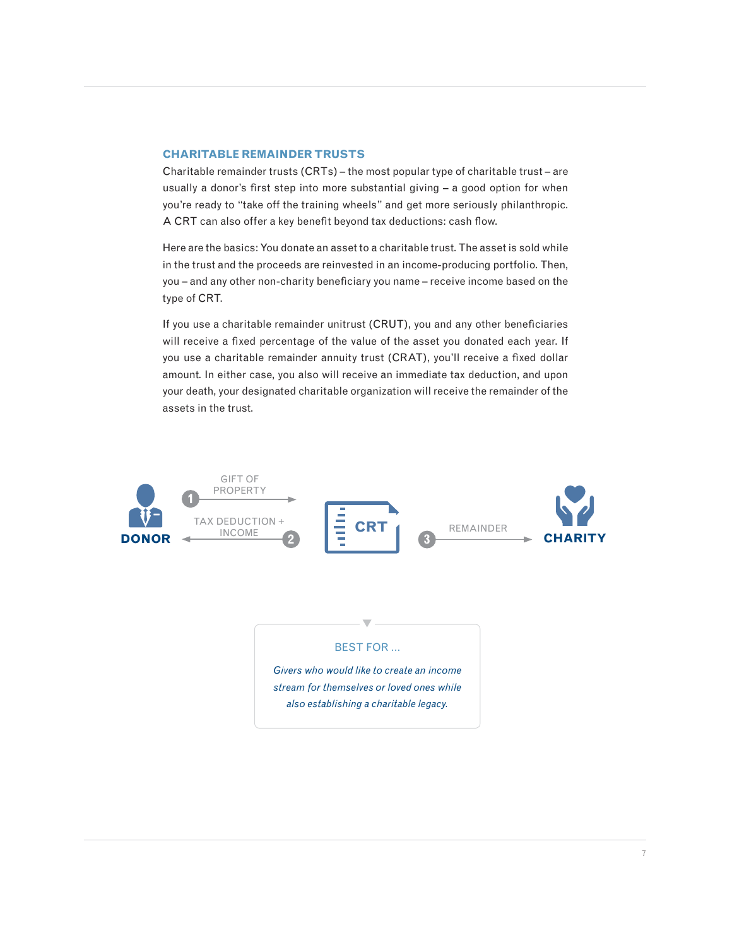#### **CHARITABLE REMAINDER TRUSTS**

Charitable remainder trusts (CRTs) – the most popular type of charitable trust – are usually a donor's first step into more substantial giving – a good option for when you're ready to "take off the training wheels" and get more seriously philanthropic. A CRT can also offer a key benefit beyond tax deductions: cash flow.

Here are the basics: You donate an asset to a charitable trust. The asset is sold while in the trust and the proceeds are reinvested in an income-producing portfolio. Then, you – and any other non-charity beneficiary you name – receive income based on the type of CRT.

If you use a charitable remainder unitrust (CRUT), you and any other beneficiaries will receive a fixed percentage of the value of the asset you donated each year. If you use a charitable remainder annuity trust (CRAT), you'll receive a fixed dollar amount. In either case, you also will receive an immediate tax deduction, and upon your death, your designated charitable organization will receive the remainder of the assets in the trust.

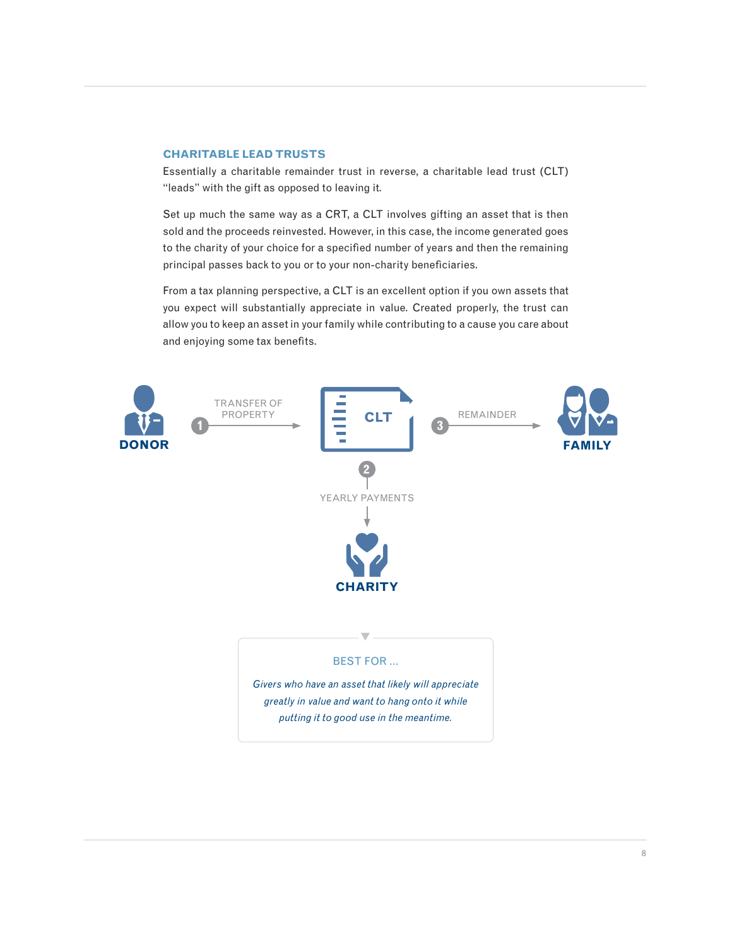#### **CHARITABLE LEAD TRUSTS**

Essentially a charitable remainder trust in reverse, a charitable lead trust (CLT) "leads" with the gift as opposed to leaving it.

Set up much the same way as a CRT, a CLT involves gifting an asset that is then sold and the proceeds reinvested. However, in this case, the income generated goes to the charity of your choice for a specified number of years and then the remaining principal passes back to you or to your non-charity beneficiaries.

From a tax planning perspective, a CLT is an excellent option if you own assets that you expect will substantially appreciate in value. Created properly, the trust can allow you to keep an asset in your family while contributing to a cause you care about and enjoying some tax benefits.

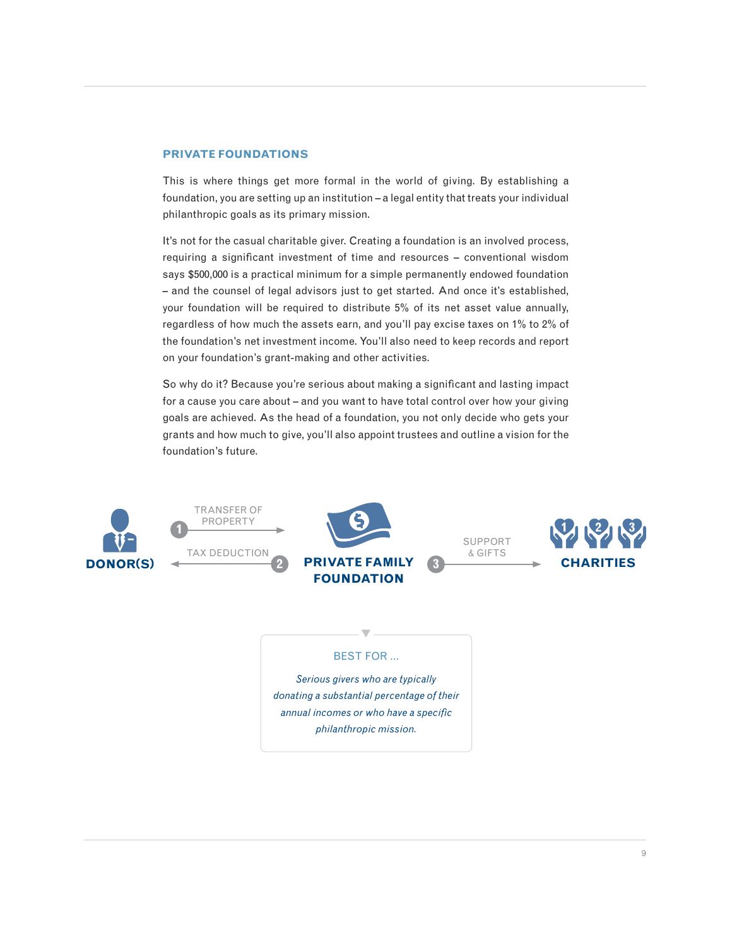#### **PRIVATE FOUNDATIONS**

This is where things get more formal in the world of giving. By establishing a foundation, you are setting up an institution – a legal entity that treats your individual philanthropic goals as its primary mission.

It's not for the casual charitable giver. Creating a foundation is an involved process, requiring a significant investment of time and resources – conventional wisdom says \$500,000 is a practical minimum for a simple permanently endowed foundation – and the counsel of legal advisors just to get started. And once it's established, your foundation will be required to distribute 5% of its net asset value annually, regardless of how much the assets earn, and you'll pay excise taxes on 1% to 2% of the foundation's net investment income. You'll also need to keep records and report on your foundation's grant-making and other activities.

So why do it? Because you're serious about making a significant and lasting impact for a cause you care about – and you want to have total control over how your giving goals are achieved. As the head of a foundation, you not only decide who gets your grants and how much to give, you'll also appoint trustees and outline a vision for the foundation's future.





SUPPORT & GIFTS

**3**



### $\blacktriangledown$ BEST FOR …

*Serious givers who are typically donating a substantial percentage of their annual incomes or who have a specific philanthropic mission.*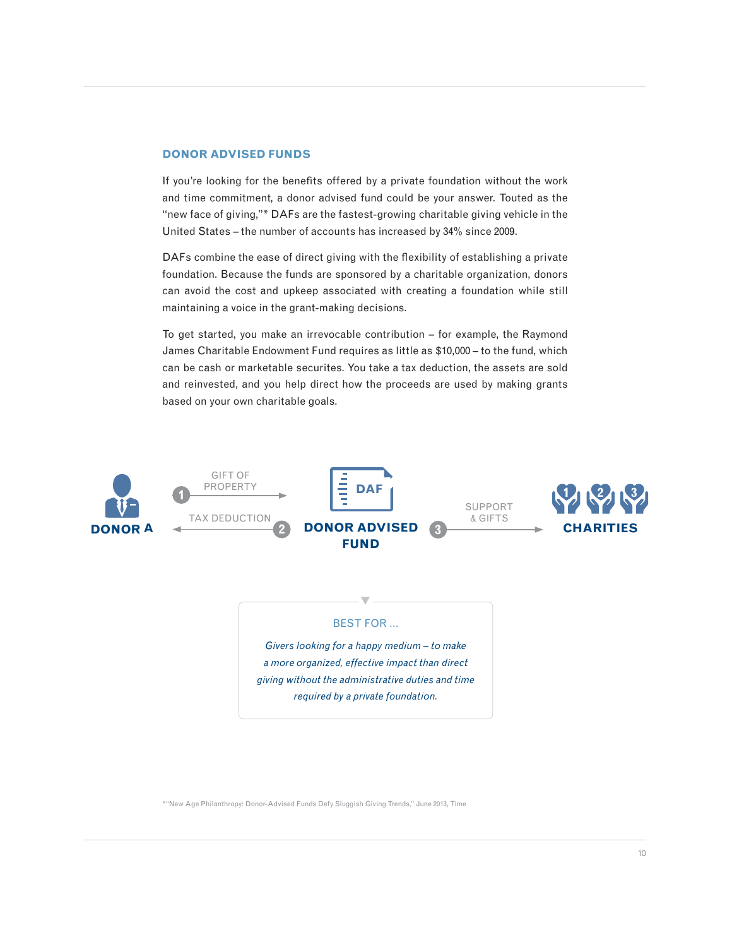#### **DONOR ADVISED FUNDS**

If you're looking for the benefits offered by a private foundation without the work and time commitment, a donor advised fund could be your answer. Touted as the "new face of giving,"\* DAFs are the fastest-growing charitable giving vehicle in the United States – the number of accounts has increased by 34% since 2009.

DAFs combine the ease of direct giving with the flexibility of establishing a private foundation. Because the funds are sponsored by a charitable organization, donors can avoid the cost and upkeep associated with creating a foundation while still maintaining a voice in the grant-making decisions.

To get started, you make an irrevocable contribution – for example, the Raymond James Charitable Endowment Fund requires as little as \$10,000 – to the fund, which can be cash or marketable securites. You take a tax deduction, the assets are sold and reinvested, and you help direct how the proceeds are used by making grants based on your own charitable goals.



### $\blacktriangledown$ BEST FOR …

*Givers looking for a happy medium – to make a more organized, effective impact than direct giving without the administrative duties and time required by a private foundation.*

\*"New Age Philanthropy: Donor-Advised Funds Defy Sluggish Giving Trends," June 2013, Time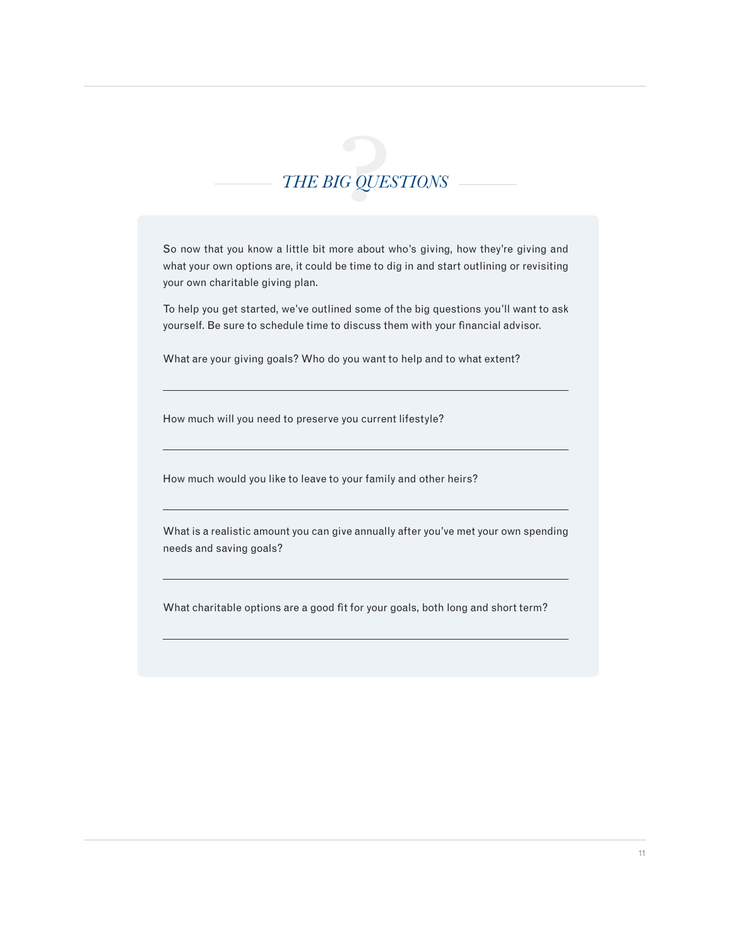

So now that you know a little bit more about who's giving, how they're giving and what your own options are, it could be time to dig in and start outlining or revisiting your own charitable giving plan.

To help you get started, we've outlined some of the big questions you'll want to ask yourself. Be sure to schedule time to discuss them with your financial advisor.

What are your giving goals? Who do you want to help and to what extent?

How much will you need to preserve you current lifestyle?

 $\overline{a}$ 

 $\overline{a}$ 

 $\overline{a}$ 

 $\overline{a}$ 

 $\overline{a}$ 

How much would you like to leave to your family and other heirs?

What is a realistic amount you can give annually after you've met your own spending needs and saving goals?

What charitable options are a good fit for your goals, both long and short term?